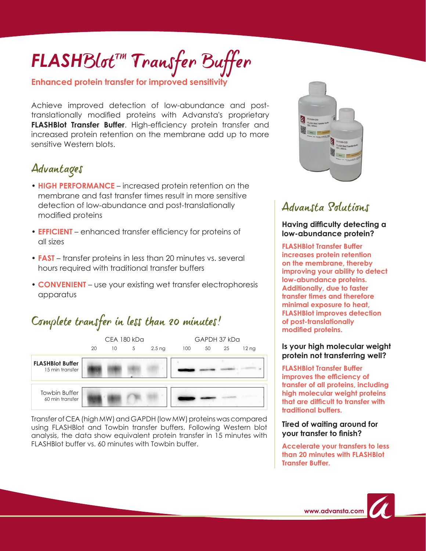# *FLASH*BlotTM Transfer Buffer

#### **Enhanced protein transfer for improved sensitivity**

Achieve improved detection of low-abundance and posttranslationally modified proteins with Advansta's proprietary **FLASHBlot Transfer Buffer**. High-efficiency protein transfer and increased protein retention on the membrane add up to more sensitive Western blots.

## Advantages

- **HIGH PERFORMANCE**  increased protein retention on the membrane and fast transfer times result in more sensitive detection of low-abundance and post-translationally modified proteins
- **EFFICIENT**  enhanced transfer efficiency for proteins of all sizes
- **FAST** transfer proteins in less than 20 minutes vs. several hours required with traditional transfer buffers
- **CONVENIENT** use your existing wet transfer electrophoresis apparatus

## Complete transfer in less than 20 minutes!



Transfer of CEA (high MW) and GAPDH (low MW) proteins was compared using FLASHBlot and Towbin transfer buffers. Following Western blot analysis, the data show equivalent protein transfer in 15 minutes with FLASHBlot buffer vs. 60 minutes with Towbin buffer.



## Advansta Solutions

#### **Having difficulty detecting a low-abundance protein?**

**FLASHBlot Transfer Buffer increases protein retention on the membrane, thereby improving your ability to detect low-abundance proteins. Additionally, due to faster transfer times and therefore minimal exposure to heat, FLASHBlot improves detection of post-translationally modified proteins.**

#### **Is your high molecular weight protein not transferring well?**

**FLASHBlot Transfer Buffer improves the efficiency of transfer of all proteins, including high molecular weight proteins that are difficult to transfer with traditional buffers.**

#### **Tired of waiting around for your transfer to finish?**

**Accelerate your transfers to less than 20 minutes with FLASHBlot Transfer Buffer.**